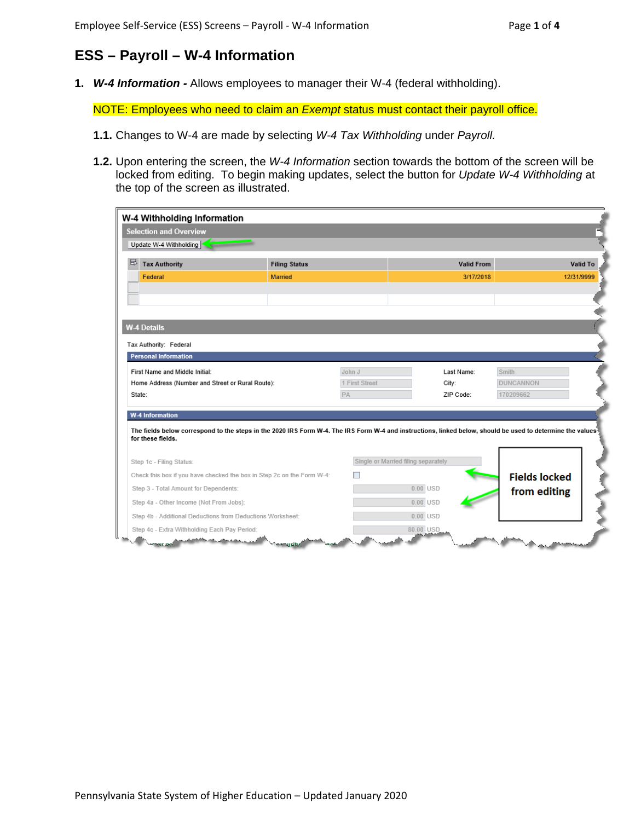## **ESS – Payroll – W-4 Information**

**1.** *W-4 Information -* Allows employees to manager their W-4 (federal withholding).

NOTE: Employees who need to claim an *Exempt* status must contact their payroll office.

- **1.1.** Changes to W-4 are made by selecting *W-4 Tax Withholding* under *Payroll.*
- **1.2.** Upon entering the screen, the *W-4 Information* section towards the bottom of the screen will be locked from editing. To begin making updates, select the button for *Update W-4 Withholding* at the top of the screen as illustrated.

| W-4 Withholding Information                                |                                                                                                                                                            |                |                                     |                      |                 |
|------------------------------------------------------------|------------------------------------------------------------------------------------------------------------------------------------------------------------|----------------|-------------------------------------|----------------------|-----------------|
| <b>Selection and Overview</b>                              |                                                                                                                                                            |                |                                     |                      |                 |
| Update W-4 Withholding                                     |                                                                                                                                                            |                |                                     |                      |                 |
|                                                            |                                                                                                                                                            |                |                                     |                      |                 |
| 昼<br><b>Tax Authority</b>                                  | <b>Filing Status</b>                                                                                                                                       |                |                                     | <b>Valid From</b>    | <b>Valid To</b> |
| Federal                                                    | <b>Married</b>                                                                                                                                             |                |                                     | 3/17/2018            | 12/31/9999      |
|                                                            |                                                                                                                                                            |                |                                     |                      |                 |
|                                                            |                                                                                                                                                            |                |                                     |                      |                 |
|                                                            |                                                                                                                                                            |                |                                     |                      |                 |
| <b>W-4 Details</b>                                         |                                                                                                                                                            |                |                                     |                      |                 |
| Tax Authority: Federal                                     |                                                                                                                                                            |                |                                     |                      |                 |
| <b>Personal Information</b>                                |                                                                                                                                                            |                |                                     |                      |                 |
| First Name and Middle Initial:                             |                                                                                                                                                            | John J         | Last Name:                          | Smith                |                 |
|                                                            |                                                                                                                                                            |                |                                     |                      |                 |
| Home Address (Number and Street or Rural Route):           |                                                                                                                                                            | 1 First Street | City:                               | <b>DUNCANNON</b>     |                 |
| State:                                                     |                                                                                                                                                            | PA             | ZIP Code:                           | 170209662            |                 |
| <b>W-4 Information</b>                                     |                                                                                                                                                            |                |                                     |                      |                 |
| for these fields.                                          | The fields below correspond to the steps in the 2020 IRS Form W-4. The IRS Form W-4 and instructions, linked below, should be used to determine the values |                |                                     |                      |                 |
| Step 1c - Filing Status:                                   |                                                                                                                                                            |                | Single or Married filing separately |                      |                 |
|                                                            | Check this box if you have checked the box in Step 2c on the Form W-4:                                                                                     |                |                                     | <b>Fields locked</b> |                 |
| Step 3 - Total Amount for Dependents:                      |                                                                                                                                                            |                | $0.00$ USD                          |                      |                 |
| Step 4a - Other Income (Not From Jobs):                    |                                                                                                                                                            |                | $0.00$ USD                          | from editing         |                 |
| Step 4b - Additional Deductions from Deductions Worksheet: |                                                                                                                                                            |                | $0.00$ USD                          |                      |                 |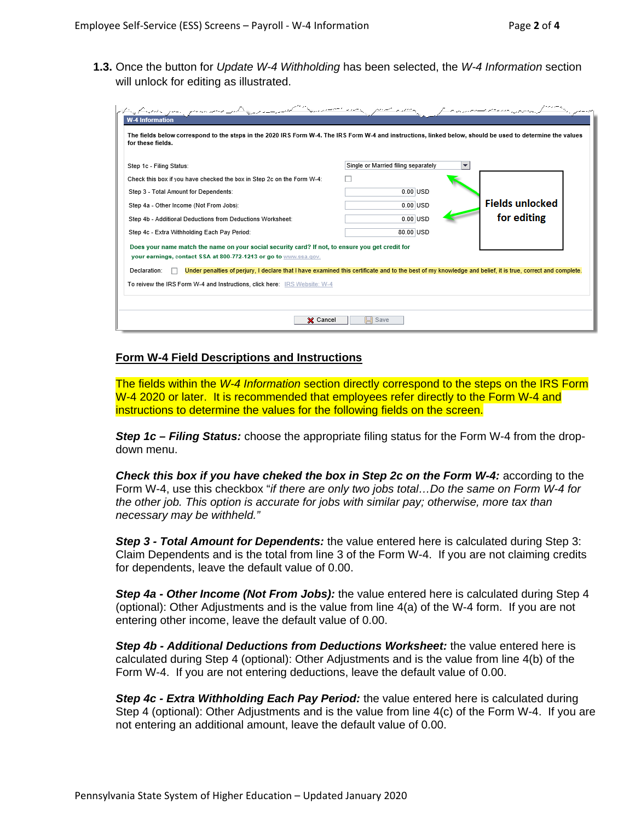**1.3.** Once the button for *Update W-4 Withholding* has been selected, the *W-4 Information* section will unlock for editing as illustrated.

| Step 1c - Filing Status:                                                                                                                                                  | Single or Married filing separately<br>$\overline{\phantom{a}}$ |                        |
|---------------------------------------------------------------------------------------------------------------------------------------------------------------------------|-----------------------------------------------------------------|------------------------|
| Check this box if you have checked the box in Step 2c on the Form W-4:                                                                                                    |                                                                 |                        |
| Step 3 - Total Amount for Dependents:                                                                                                                                     | $0.00$ USD                                                      |                        |
| Step 4a - Other Income (Not From Jobs):                                                                                                                                   | $0.00$ USD                                                      | <b>Fields unlocked</b> |
| Step 4b - Additional Deductions from Deductions Worksheet:                                                                                                                | $0.00$ USD                                                      | for editing            |
| Step 4c - Extra Withholding Each Pay Period:                                                                                                                              | 80.00 USD                                                       |                        |
| Does your name match the name on your social security card? If not, to ensure you get credit for                                                                          |                                                                 |                        |
| your earnings, contact SSA at 800-772-1213 or go to www.ssa.gov.                                                                                                          |                                                                 |                        |
| Under penalties of perjury, I declare that I have examined this certificate and to the best of my knowledge and belief, it is true, correct and complete.<br>Declaration: |                                                                 |                        |

## **Form W-4 Field Descriptions and Instructions**

The fields within the *W-4 Information* section directly correspond to the steps on the IRS Form W-4 2020 or later. It is recommended that employees refer directly to the Form W-4 and instructions to determine the values for the following fields on the screen.

*Step 1c – Filing Status:* choose the appropriate filing status for the Form W-4 from the dropdown menu.

*Check this box if you have cheked the box in Step 2c on the Form W-4:* according to the Form W-4, use this checkbox "*if there are only two jobs total…Do the same on Form W-4 for the other job. This option is accurate for jobs with similar pay; otherwise, more tax than necessary may be withheld."*

*Step 3 - Total Amount for Dependents:* the value entered here is calculated during Step 3: Claim Dependents and is the total from line 3 of the Form W-4. If you are not claiming credits for dependents, leave the default value of 0.00.

*Step 4a - Other Income (Not From Jobs):* the value entered here is calculated during Step 4 (optional): Other Adjustments and is the value from line 4(a) of the W-4 form. If you are not entering other income, leave the default value of 0.00.

*Step 4b - Additional Deductions from Deductions Worksheet:* the value entered here is calculated during Step 4 (optional): Other Adjustments and is the value from line 4(b) of the Form W-4. If you are not entering deductions, leave the default value of 0.00.

*Step 4c - Extra Withholding Each Pay Period:* the value entered here is calculated during Step 4 (optional): Other Adjustments and is the value from line 4(c) of the Form W-4. If you are not entering an additional amount, leave the default value of 0.00.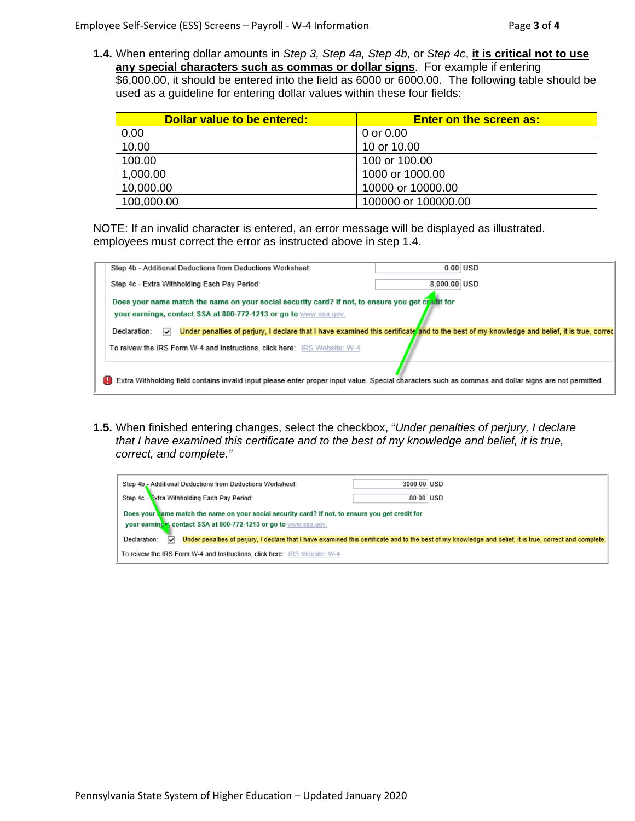**1.4.** When entering dollar amounts in *Step 3, Step 4a, Step 4b,* or *Step 4c*, **it is critical not to use any special characters such as commas or dollar signs**. For example if entering \$6,000.00, it should be entered into the field as 6000 or 6000.00. The following table should be used as a guideline for entering dollar values within these four fields:

| Dollar value to be entered: | <b>Enter on the screen as:</b> |
|-----------------------------|--------------------------------|
| 0.00                        | 0 or 0.00                      |
| 10.00                       | 10 or 10.00                    |
| 100.00                      | 100 or 100.00                  |
| 1,000.00                    | 1000 or 1000.00                |
| 10,000.00                   | 10000 or 10000.00              |
| 100,000.00                  | 100000 or 100000.00            |

NOTE: If an invalid character is entered, an error message will be displayed as illustrated. employees must correct the error as instructed above in step 1.4.

| Step 4b - Additional Deductions from Deductions Worksheet:                                                                                                      |              | $0.00$ USD |
|-----------------------------------------------------------------------------------------------------------------------------------------------------------------|--------------|------------|
| Step 4c - Extra Withholding Each Pay Period:                                                                                                                    | 8.000.00 USD |            |
| Does your name match the name on your social security card? If not, to ensure you get credit for                                                                |              |            |
| your earnings, contact SSA at 800-772-1213 or go to www.ssa.gov.                                                                                                |              |            |
| Under penalties of perjury, I declare that I have examined this certificate and to the best of my knowledge and belief, it is true, correc<br>Declaration:<br>◡ |              |            |
| To reivew the IRS Form W-4 and Instructions, click here: IRS Website: W-4                                                                                       |              |            |
| Extra Withholding field contains invalid input please enter proper input value. Special characters such as commas and dollar signs are not permitted.           |              |            |

**1.5.** When finished entering changes, select the checkbox, "*Under penalties of perjury, I declare that I have examined this certificate and to the best of my knowledge and belief, it is true, correct, and complete."*

| Step 4b - Additional Deductions from Deductions Worksheet:                                                                                                            | 3000.00 USD                                                                                                                                               |  |
|-----------------------------------------------------------------------------------------------------------------------------------------------------------------------|-----------------------------------------------------------------------------------------------------------------------------------------------------------|--|
| Step 4c - Extra Withholding Each Pay Period:                                                                                                                          | 80.00 USD                                                                                                                                                 |  |
| Does your hame match the name on your social security card? If not, to ensure you get credit for<br>your earning x, contact SSA at 800-772-1213 or go to www.ssa.gov. |                                                                                                                                                           |  |
| Declaration:<br>M                                                                                                                                                     | Under penalties of perjury. I declare that I have examined this certificate and to the best of my knowledge and belief, it is true, correct and complete. |  |
| To reivew the IRS Form W-4 and Instructions, click here: IRS Website: W-4                                                                                             |                                                                                                                                                           |  |